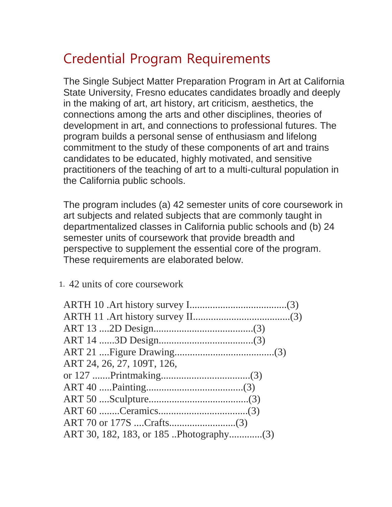## Credential Program Requirements

The Single Subject Matter Preparation Program in Art at California State University, Fresno educates candidates broadly and deeply in the making of art, art history, art criticism, aesthetics, the connections among the arts and other disciplines, theories of development in art, and connections to professional futures. The program builds a personal sense of enthusiasm and lifelong commitment to the study of these components of art and trains candidates to be educated, highly motivated, and sensitive practitioners of the teaching of art to a multi-cultural population in the California public schools.

The program includes (a) 42 semester units of core coursework in art subjects and related subjects that are commonly taught in departmentalized classes in California public schools and (b) 24 semester units of coursework that provide breadth and perspective to supplement the essential core of the program. These requirements are elaborated below.

## 1. 42 units of core coursework

| ART 24, 26, 27, 109T, 126, |
|----------------------------|
|                            |
|                            |
|                            |
|                            |
|                            |
|                            |